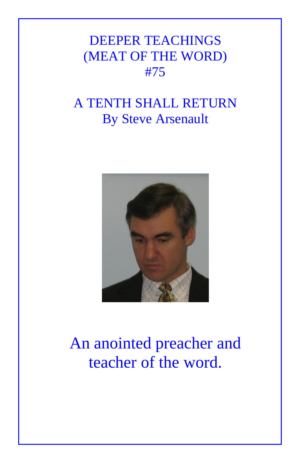## DEEPER TEACHINGS (MEAT OF THE WORD) #75

## A TENTH SHALL RETURN By Steve Arsenault



## An anointed preacher and teacher of the word.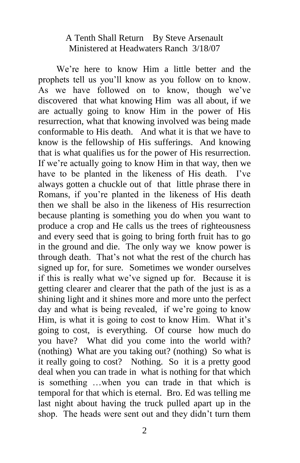## A Tenth Shall Return By Steve Arsenault Ministered at Headwaters Ranch 3/18/07

 We're here to know Him a little better and the prophets tell us you'll know as you follow on to know. As we have followed on to know, though we've discovered that what knowing Him was all about, if we are actually going to know Him in the power of His resurrection, what that knowing involved was being made conformable to His death. And what it is that we have to know is the fellowship of His sufferings. And knowing that is what qualifies us for the power of His resurrection. If we're actually going to know Him in that way, then we have to be planted in the likeness of His death. I've always gotten a chuckle out of that little phrase there in Romans, if you're planted in the likeness of His death then we shall be also in the likeness of His resurrection because planting is something you do when you want to produce a crop and He calls us the trees of righteousness and every seed that is going to bring forth fruit has to go in the ground and die. The only way we know power is through death. That's not what the rest of the church has signed up for, for sure. Sometimes we wonder ourselves if this is really what we've signed up for. Because it is getting clearer and clearer that the path of the just is as a shining light and it shines more and more unto the perfect day and what is being revealed, if we're going to know Him, is what it is going to cost to know Him. What it's going to cost, is everything. Of course how much do you have? What did you come into the world with? (nothing) What are you taking out? (nothing) So what is it really going to cost? Nothing. So it is a pretty good deal when you can trade in what is nothing for that which is something …when you can trade in that which is temporal for that which is eternal. Bro. Ed was telling me last night about having the truck pulled apart up in the shop. The heads were sent out and they didn't turn them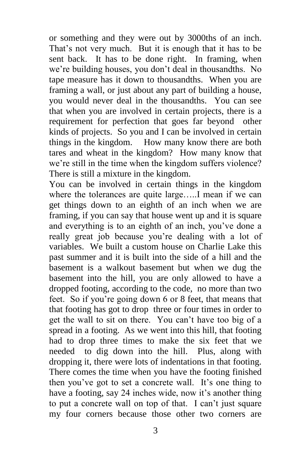or something and they were out by 3000ths of an inch. That's not very much. But it is enough that it has to be sent back. It has to be done right. In framing, when we're building houses, you don't deal in thousandths. No tape measure has it down to thousandths. When you are framing a wall, or just about any part of building a house, you would never deal in the thousandths. You can see that when you are involved in certain projects, there is a requirement for perfection that goes far beyond other kinds of projects. So you and I can be involved in certain things in the kingdom. How many know there are both tares and wheat in the kingdom? How many know that we're still in the time when the kingdom suffers violence? There is still a mixture in the kingdom.

You can be involved in certain things in the kingdom where the tolerances are quite large…..I mean if we can get things down to an eighth of an inch when we are framing, if you can say that house went up and it is square and everything is to an eighth of an inch, you've done a really great job because you're dealing with a lot of variables. We built a custom house on Charlie Lake this past summer and it is built into the side of a hill and the basement is a walkout basement but when we dug the basement into the hill, you are only allowed to have a dropped footing, according to the code, no more than two feet. So if you're going down 6 or 8 feet, that means that that footing has got to drop three or four times in order to get the wall to sit on there. You can't have too big of a spread in a footing. As we went into this hill, that footing had to drop three times to make the six feet that we needed to dig down into the hill. Plus, along with dropping it, there were lots of indentations in that footing. There comes the time when you have the footing finished then you've got to set a concrete wall. It's one thing to have a footing, say 24 inches wide, now it's another thing to put a concrete wall on top of that. I can't just square my four corners because those other two corners are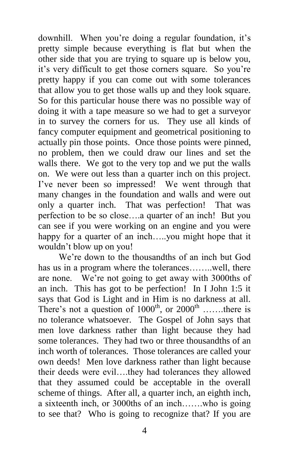downhill. When you're doing a regular foundation, it's pretty simple because everything is flat but when the other side that you are trying to square up is below you, it's very difficult to get those corners square. So you're pretty happy if you can come out with some tolerances that allow you to get those walls up and they look square. So for this particular house there was no possible way of doing it with a tape measure so we had to get a surveyor in to survey the corners for us. They use all kinds of fancy computer equipment and geometrical positioning to actually pin those points. Once those points were pinned, no problem, then we could draw our lines and set the walls there. We got to the very top and we put the walls on. We were out less than a quarter inch on this project. I've never been so impressed! We went through that many changes in the foundation and walls and were out only a quarter inch. That was perfection! That was perfection to be so close….a quarter of an inch! But you can see if you were working on an engine and you were happy for a quarter of an inch.....you might hope that it wouldn't blow up on you!

 We're down to the thousandths of an inch but God has us in a program where the tolerances……..well, there are none. We're not going to get away with 3000ths of an inch. This has got to be perfection! In I John 1:5 it says that God is Light and in Him is no darkness at all. There's not a question of  $1000^{\text{th}}$ , or  $2000^{\text{th}}$  .......there is no tolerance whatsoever. The Gospel of John says that men love darkness rather than light because they had some tolerances. They had two or three thousandths of an inch worth of tolerances. Those tolerances are called your own deeds! Men love darkness rather than light because their deeds were evil….they had tolerances they allowed that they assumed could be acceptable in the overall scheme of things. After all, a quarter inch, an eighth inch, a sixteenth inch, or 3000ths of an inch…….who is going to see that? Who is going to recognize that? If you are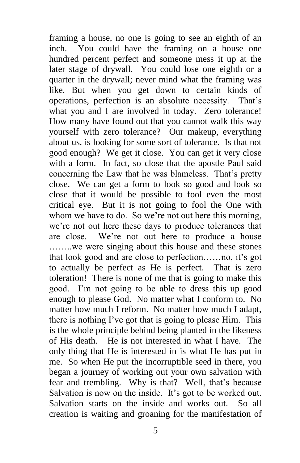framing a house, no one is going to see an eighth of an inch. You could have the framing on a house one hundred percent perfect and someone mess it up at the later stage of drywall. You could lose one eighth or a quarter in the drywall; never mind what the framing was like. But when you get down to certain kinds of operations, perfection is an absolute necessity. That's what you and I are involved in today. Zero tolerance! How many have found out that you cannot walk this way yourself with zero tolerance? Our makeup, everything about us, is looking for some sort of tolerance. Is that not good enough? We get it close. You can get it very close with a form. In fact, so close that the apostle Paul said concerning the Law that he was blameless. That's pretty close. We can get a form to look so good and look so close that it would be possible to fool even the most critical eye. But it is not going to fool the One with whom we have to do. So we're not out here this morning, we're not out here these days to produce tolerances that are close. We're not out here to produce a house ……..we were singing about this house and these stones that look good and are close to perfection……no, it's got to actually be perfect as He is perfect. That is zero toleration! There is none of me that is going to make this good. I'm not going to be able to dress this up good enough to please God. No matter what I conform to. No matter how much I reform. No matter how much I adapt, there is nothing I've got that is going to please Him. This is the whole principle behind being planted in the likeness of His death. He is not interested in what I have. The only thing that He is interested in is what He has put in me. So when He put the incorruptible seed in there, you began a journey of working out your own salvation with fear and trembling. Why is that? Well, that's because Salvation is now on the inside. It's got to be worked out. Salvation starts on the inside and works out. So all creation is waiting and groaning for the manifestation of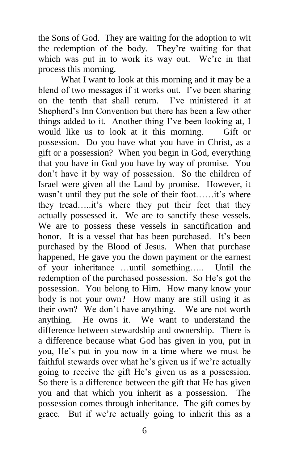the Sons of God. They are waiting for the adoption to wit the redemption of the body. They're waiting for that which was put in to work its way out. We're in that process this morning.

 What I want to look at this morning and it may be a blend of two messages if it works out. I've been sharing<br>on the tenth that shall return. I've ministered it at on the tenth that shall return. Shepherd's Inn Convention but there has been a few other things added to it. Another thing I've been looking at, I would like us to look at it this morning. Gift or possession. Do you have what you have in Christ, as a gift or a possession? When you begin in God, everything that you have in God you have by way of promise. You don't have it by way of possession. So the children of Israel were given all the Land by promise. However, it wasn't until they put the sole of their foot……it's where they tread…..it's where they put their feet that they actually possessed it. We are to sanctify these vessels. We are to possess these vessels in sanctification and honor. It is a vessel that has been purchased. It's been purchased by the Blood of Jesus. When that purchase happened, He gave you the down payment or the earnest of your inheritance …until something….. Until the redemption of the purchased possession. So He's got the possession. You belong to Him. How many know your body is not your own? How many are still using it as their own? We don't have anything. We are not worth anything. He owns it. We want to understand the difference between stewardship and ownership. There is a difference because what God has given in you, put in you, He's put in you now in a time where we must be faithful stewards over what he's given us if we're actually going to receive the gift He's given us as a possession. So there is a difference between the gift that He has given you and that which you inherit as a possession. The possession comes through inheritance. The gift comes by grace. But if we're actually going to inherit this as a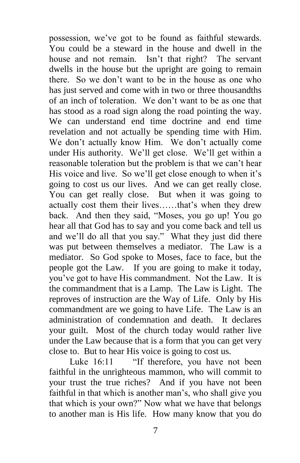possession, we've got to be found as faithful stewards. You could be a steward in the house and dwell in the house and not remain. Isn't that right? The servant dwells in the house but the upright are going to remain there. So we don't want to be in the house as one who has just served and come with in two or three thousandths of an inch of toleration. We don't want to be as one that has stood as a road sign along the road pointing the way. We can understand end time doctrine and end time revelation and not actually be spending time with Him. We don't actually know Him. We don't actually come under His authority. We'll get close. We'll get within a reasonable toleration but the problem is that we can't hear His voice and live. So we'll get close enough to when it's going to cost us our lives. And we can get really close. You can get really close. But when it was going to actually cost them their lives……that's when they drew back. And then they said, "Moses, you go up! You go hear all that God has to say and you come back and tell us and we'll do all that you say." What they just did there was put between themselves a mediator. The Law is a mediator. So God spoke to Moses, face to face, but the people got the Law. If you are going to make it today, you've got to have His commandment. Not the Law. It is the commandment that is a Lamp. The Law is Light. The reproves of instruction are the Way of Life. Only by His commandment are we going to have Life. The Law is an administration of condemnation and death. It declares your guilt. Most of the church today would rather live under the Law because that is a form that you can get very close to. But to hear His voice is going to cost us.

Luke 16:11 "If therefore, you have not been faithful in the unrighteous mammon, who will commit to your trust the true riches? And if you have not been faithful in that which is another man's, who shall give you that which is your own?" Now what we have that belongs to another man is His life. How many know that you do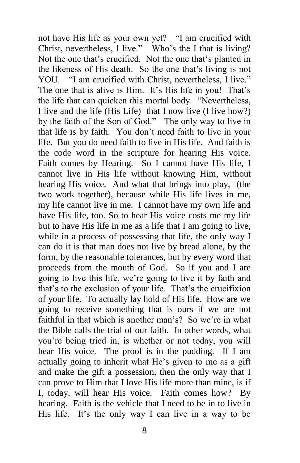not have His life as your own yet? "I am crucified with Christ, nevertheless, I live." Who's the I that is living? Not the one that's crucified. Not the one that's planted in the likeness of His death. So the one that's living is not YOU. "I am crucified with Christ, nevertheless, I live." The one that is alive is Him. It's His life in you! That's the life that can quicken this mortal body. "Nevertheless, I live and the life (His Life) that I now live (I live how?) by the faith of the Son of God." The only way to live in that life is by faith. You don't need faith to live in your life. But you do need faith to live in His life. And faith is the code word in the scripture for hearing His voice. Faith comes by Hearing. So I cannot have His life, I cannot live in His life without knowing Him, without hearing His voice. And what that brings into play, (the two work together), because while His life lives in me, my life cannot live in me. I cannot have my own life and have His life, too. So to hear His voice costs me my life but to have His life in me as a life that I am going to live, while in a process of possessing that life, the only way I can do it is that man does not live by bread alone, by the form, by the reasonable tolerances, but by every word that proceeds from the mouth of God. So if you and I are going to live this life, we're going to live it by faith and that's to the exclusion of your life. That's the crucifixion of your life. To actually lay hold of His life. How are we going to receive something that is ours if we are not faithful in that which is another man's? So we're in what the Bible calls the trial of our faith. In other words, what you're being tried in, is whether or not today, you will hear His voice. The proof is in the pudding. If I am actually going to inherit what He's given to me as a gift and make the gift a possession, then the only way that I can prove to Him that I love His life more than mine, is if I, today, will hear His voice. Faith comes how? By hearing. Faith is the vehicle that I need to be in to live in His life. It's the only way I can live in a way to be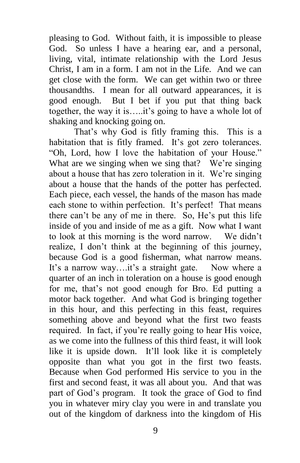pleasing to God. Without faith, it is impossible to please God. So unless I have a hearing ear, and a personal, living, vital, intimate relationship with the Lord Jesus Christ, I am in a form. I am not in the Life. And we can get close with the form. We can get within two or three thousandths. I mean for all outward appearances, it is good enough. But I bet if you put that thing back together, the way it is…..it's going to have a whole lot of shaking and knocking going on.

 That's why God is fitly framing this. This is a habitation that is fitly framed. It's got zero tolerances. "Oh, Lord, how I love the habitation of your House." What are we singing when we sing that? We're singing about a house that has zero toleration in it. We're singing about a house that the hands of the potter has perfected. Each piece, each vessel, the hands of the mason has made each stone to within perfection. It's perfect! That means there can't be any of me in there. So, He's put this life inside of you and inside of me as a gift. Now what I want to look at this morning is the word narrow. We didn't realize, I don't think at the beginning of this journey, because God is a good fisherman, what narrow means. It's a narrow way….it's a straight gate. Now where a quarter of an inch in toleration on a house is good enough for me, that's not good enough for Bro. Ed putting a motor back together. And what God is bringing together in this hour, and this perfecting in this feast, requires something above and beyond what the first two feasts required. In fact, if you're really going to hear His voice, as we come into the fullness of this third feast, it will look like it is upside down. It'll look like it is completely opposite than what you got in the first two feasts. Because when God performed His service to you in the first and second feast, it was all about you. And that was part of God's program. It took the grace of God to find you in whatever miry clay you were in and translate you out of the kingdom of darkness into the kingdom of His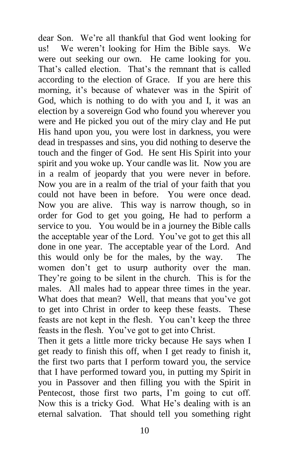dear Son. We're all thankful that God went looking for us! We weren't looking for Him the Bible says. We were out seeking our own. He came looking for you. That's called election. That's the remnant that is called according to the election of Grace. If you are here this morning, it's because of whatever was in the Spirit of God, which is nothing to do with you and I, it was an election by a sovereign God who found you wherever you were and He picked you out of the miry clay and He put His hand upon you, you were lost in darkness, you were dead in trespasses and sins, you did nothing to deserve the touch and the finger of God. He sent His Spirit into your spirit and you woke up. Your candle was lit. Now you are in a realm of jeopardy that you were never in before. Now you are in a realm of the trial of your faith that you could not have been in before. You were once dead. Now you are alive. This way is narrow though, so in order for God to get you going, He had to perform a service to you. You would be in a journey the Bible calls the acceptable year of the Lord. You've got to get this all done in one year. The acceptable year of the Lord. And this would only be for the males, by the way. The women don't get to usurp authority over the man. They're going to be silent in the church. This is for the males. All males had to appear three times in the year. What does that mean? Well, that means that you've got to get into Christ in order to keep these feasts. These feasts are not kept in the flesh. You can't keep the three feasts in the flesh. You've got to get into Christ.

Then it gets a little more tricky because He says when I get ready to finish this off, when I get ready to finish it, the first two parts that I perform toward you, the service that I have performed toward you, in putting my Spirit in you in Passover and then filling you with the Spirit in Pentecost, those first two parts, I'm going to cut off. Now this is a tricky God. What He's dealing with is an eternal salvation. That should tell you something right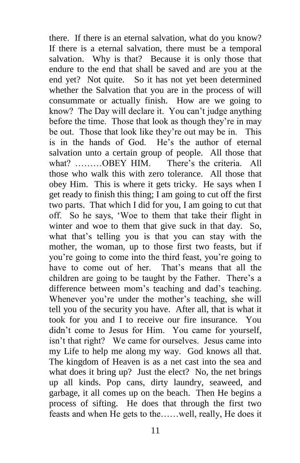there. If there is an eternal salvation, what do you know? If there is a eternal salvation, there must be a temporal salvation. Why is that? Because it is only those that endure to the end that shall be saved and are you at the end yet? Not quite. So it has not yet been determined whether the Salvation that you are in the process of will consummate or actually finish. How are we going to know? The Day will declare it. You can't judge anything before the time. Those that look as though they're in may be out. Those that look like they're out may be in. This is in the hands of God. He's the author of eternal salvation unto a certain group of people. All those that what? ………OBEY HIM. There's the criteria. All those who walk this with zero tolerance. All those that obey Him. This is where it gets tricky. He says when I get ready to finish this thing; I am going to cut off the first two parts. That which I did for you, I am going to cut that off. So he says, 'Woe to them that take their flight in winter and woe to them that give suck in that day. So, what that's telling you is that you can stay with the mother, the woman, up to those first two feasts, but if you're going to come into the third feast, you're going to have to come out of her. That's means that all the children are going to be taught by the Father. There's a difference between mom's teaching and dad's teaching. Whenever you're under the mother's teaching, she will tell you of the security you have. After all, that is what it took for you and I to receive our fire insurance. You didn't come to Jesus for Him. You came for yourself, isn't that right? We came for ourselves. Jesus came into my Life to help me along my way. God knows all that. The kingdom of Heaven is as a net cast into the sea and what does it bring up? Just the elect? No, the net brings up all kinds. Pop cans, dirty laundry, seaweed, and garbage, it all comes up on the beach. Then He begins a process of sifting. He does that through the first two feasts and when He gets to the……well, really, He does it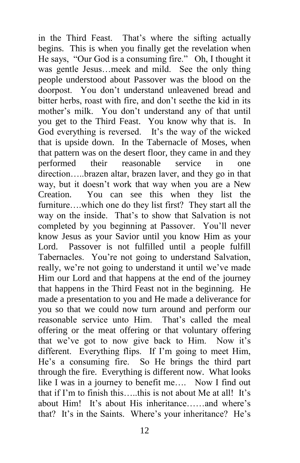in the Third Feast. That's where the sifting actually begins. This is when you finally get the revelation when He says, "Our God is a consuming fire." Oh, I thought it was gentle Jesus…meek and mild. See the only thing people understood about Passover was the blood on the doorpost. You don't understand unleavened bread and bitter herbs, roast with fire, and don't seethe the kid in its mother's milk. You don't understand any of that until you get to the Third Feast. You know why that is. In God everything is reversed. It's the way of the wicked that is upside down. In the Tabernacle of Moses, when that pattern was on the desert floor, they came in and they performed their reasonable service in one direction…..brazen altar, brazen laver, and they go in that way, but it doesn't work that way when you are a New Creation. You can see this when they list the furniture....which one do they list first? They start all the way on the inside. That's to show that Salvation is not completed by you beginning at Passover. You'll never know Jesus as your Savior until you know Him as your Lord. Passover is not fulfilled until a people fulfill Tabernacles. You're not going to understand Salvation, really, we're not going to understand it until we've made Him our Lord and that happens at the end of the journey that happens in the Third Feast not in the beginning. He made a presentation to you and He made a deliverance for you so that we could now turn around and perform our reasonable service unto Him. That's called the meal offering or the meat offering or that voluntary offering that we've got to now give back to Him. Now it's different. Everything flips. If I'm going to meet Him, He's a consuming fire. So He brings the third part through the fire. Everything is different now. What looks like I was in a journey to benefit me…. Now I find out that if I'm to finish this…..this is not about Me at all! It's about Him! It's about His inheritance……and where's that? It's in the Saints. Where's your inheritance? He's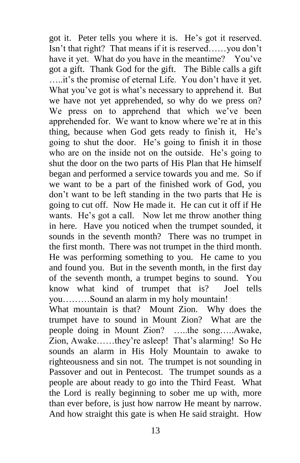got it. Peter tells you where it is. He's got it reserved. Isn't that right? That means if it is reserved……you don't have it yet. What do you have in the meantime? You've got a gift. Thank God for the gift. The Bible calls a gift …..it's the promise of eternal Life. You don't have it yet. What you've got is what's necessary to apprehend it. But we have not yet apprehended, so why do we press on? We press on to apprehend that which we've been apprehended for. We want to know where we're at in this thing, because when God gets ready to finish it, He's going to shut the door. He's going to finish it in those who are on the inside not on the outside. He's going to shut the door on the two parts of His Plan that He himself began and performed a service towards you and me. So if we want to be a part of the finished work of God, you don't want to be left standing in the two parts that He is going to cut off. Now He made it. He can cut it off if He wants. He's got a call. Now let me throw another thing in here. Have you noticed when the trumpet sounded, it sounds in the seventh month? There was no trumpet in the first month. There was not trumpet in the third month. He was performing something to you. He came to you and found you. But in the seventh month, in the first day of the seventh month, a trumpet begins to sound. You know what kind of trumpet that is? Joel tells you………Sound an alarm in my holy mountain!

What mountain is that? Mount Zion. Why does the trumpet have to sound in Mount Zion? What are the people doing in Mount Zion? …..the song…..Awake, Zion, Awake……they're asleep! That's alarming! So He sounds an alarm in His Holy Mountain to awake to righteousness and sin not. The trumpet is not sounding in Passover and out in Pentecost. The trumpet sounds as a people are about ready to go into the Third Feast. What the Lord is really beginning to sober me up with, more than ever before, is just how narrow He meant by narrow. And how straight this gate is when He said straight. How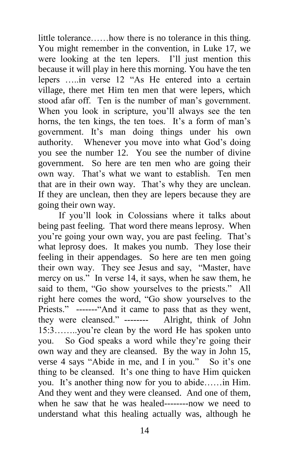little tolerance……how there is no tolerance in this thing. You might remember in the convention, in Luke 17, we were looking at the ten lepers. I'll just mention this because it will play in here this morning. You have the ten lepers …..in verse 12 "As He entered into a certain village, there met Him ten men that were lepers, which stood afar off. Ten is the number of man's government. When you look in scripture, you'll always see the ten horns, the ten kings, the ten toes. It's a form of man's government. It's man doing things under his own authority. Whenever you move into what God's doing you see the number 12. You see the number of divine government. So here are ten men who are going their own way. That's what we want to establish. Ten men that are in their own way. That's why they are unclean. If they are unclean, then they are lepers because they are going their own way.

 If you'll look in Colossians where it talks about being past feeling. That word there means leprosy. When you're going your own way, you are past feeling. That's what leprosy does. It makes you numb. They lose their feeling in their appendages. So here are ten men going their own way. They see Jesus and say, "Master, have mercy on us." In verse 14, it says, when he saw them, he said to them, "Go show yourselves to the priests." All right here comes the word, "Go show yourselves to the Priests." -------"And it came to pass that as they went, they were cleansed." -------- Alright, think of John 15:3……..you're clean by the word He has spoken unto you. So God speaks a word while they're going their own way and they are cleansed. By the way in John 15, verse 4 says "Abide in me, and I in you." So it's one thing to be cleansed. It's one thing to have Him quicken you. It's another thing now for you to abide……in Him. And they went and they were cleansed. And one of them, when he saw that he was healed--------now we need to understand what this healing actually was, although he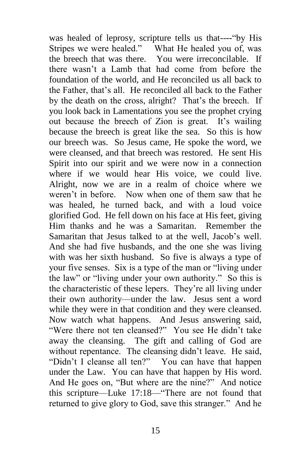was healed of leprosy, scripture tells us that----"by His Stripes we were healed." What He healed you of, was the breech that was there. You were irreconcilable. If there wasn't a Lamb that had come from before the foundation of the world, and He reconciled us all back to the Father, that's all. He reconciled all back to the Father by the death on the cross, alright? That's the breech. If you look back in Lamentations you see the prophet crying out because the breech of Zion is great. It's wailing because the breech is great like the sea. So this is how our breech was. So Jesus came, He spoke the word, we were cleansed, and that breech was restored. He sent His Spirit into our spirit and we were now in a connection where if we would hear His voice, we could live. Alright, now we are in a realm of choice where we weren't in before. Now when one of them saw that he was healed, he turned back, and with a loud voice glorified God. He fell down on his face at His feet, giving Him thanks and he was a Samaritan. Remember the Samaritan that Jesus talked to at the well, Jacob's well. And she had five husbands, and the one she was living with was her sixth husband. So five is always a type of your five senses. Six is a type of the man or "living under the law" or "living under your own authority." So this is the characteristic of these lepers. They're all living under their own authority—under the law. Jesus sent a word while they were in that condition and they were cleansed. Now watch what happens. And Jesus answering said, "Were there not ten cleansed?" You see He didn't take away the cleansing. The gift and calling of God are without repentance. The cleansing didn't leave. He said, "Didn't I cleanse all ten?" You can have that happen under the Law. You can have that happen by His word. And He goes on, "But where are the nine?" And notice this scripture—Luke 17:18—"There are not found that returned to give glory to God, save this stranger." And he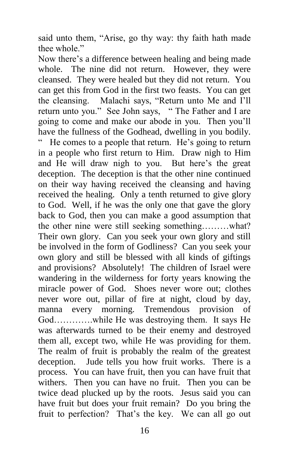said unto them, "Arise, go thy way: thy faith hath made thee whole."

Now there's a difference between healing and being made whole. The nine did not return. However, they were cleansed. They were healed but they did not return. You can get this from God in the first two feasts. You can get the cleansing. Malachi says, "Return unto Me and I'll return unto you." See John says, " The Father and I are going to come and make our abode in you. Then you'll have the fullness of the Godhead, dwelling in you bodily. " He comes to a people that return. He's going to return in a people who first return to Him. Draw nigh to Him and He will draw nigh to you. But here's the great deception. The deception is that the other nine continued on their way having received the cleansing and having received the healing. Only a tenth returned to give glory to God. Well, if he was the only one that gave the glory back to God, then you can make a good assumption that the other nine were still seeking something………what? Their own glory. Can you seek your own glory and still be involved in the form of Godliness? Can you seek your own glory and still be blessed with all kinds of giftings and provisions? Absolutely! The children of Israel were wandering in the wilderness for forty years knowing the miracle power of God. Shoes never wore out; clothes never wore out, pillar of fire at night, cloud by day, manna every morning. Tremendous provision of God………….while He was destroying them. It says He was afterwards turned to be their enemy and destroyed them all, except two, while He was providing for them. The realm of fruit is probably the realm of the greatest deception. Jude tells you how fruit works. There is a process. You can have fruit, then you can have fruit that withers. Then you can have no fruit. Then you can be twice dead plucked up by the roots. Jesus said you can have fruit but does your fruit remain? Do you bring the fruit to perfection? That's the key. We can all go out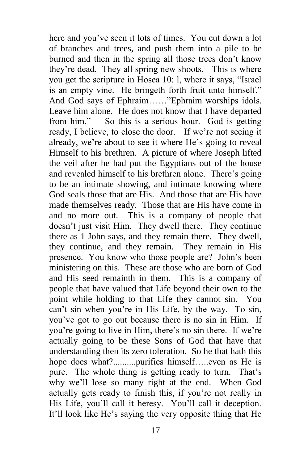here and you've seen it lots of times. You cut down a lot of branches and trees, and push them into a pile to be burned and then in the spring all those trees don't know they're dead. They all spring new shoots. This is where you get the scripture in Hosea 10: l, where it says, "Israel is an empty vine. He bringeth forth fruit unto himself." And God says of Ephraim……"Ephraim worships idols. Leave him alone. He does not know that I have departed from him." So this is a serious hour. God is getting ready, I believe, to close the door. If we're not seeing it already, we're about to see it where He's going to reveal Himself to his brethren. A picture of where Joseph lifted the veil after he had put the Egyptians out of the house and revealed himself to his brethren alone. There's going to be an intimate showing, and intimate knowing where God seals those that are His. And those that are His have made themselves ready. Those that are His have come in and no more out. This is a company of people that doesn't just visit Him. They dwell there. They continue there as 1 John says, and they remain there. They dwell, they continue, and they remain. They remain in His presence. You know who those people are? John's been ministering on this. These are those who are born of God and His seed remainth in them. This is a company of people that have valued that Life beyond their own to the point while holding to that Life they cannot sin. You can't sin when you're in His Life, by the way. To sin, you've got to go out because there is no sin in Him. If you're going to live in Him, there's no sin there. If we're actually going to be these Sons of God that have that understanding then its zero toleration. So he that hath this hope does what?..........purifies himself.....even as He is pure. The whole thing is getting ready to turn. That's why we'll lose so many right at the end. When God actually gets ready to finish this, if you're not really in His Life, you'll call it heresy. You'll call it deception. It'll look like He's saying the very opposite thing that He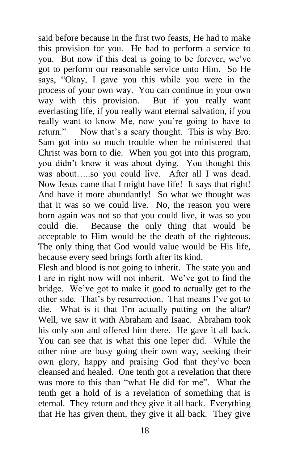said before because in the first two feasts, He had to make this provision for you. He had to perform a service to you. But now if this deal is going to be forever, we've got to perform our reasonable service unto Him. So He says, "Okay, I gave you this while you were in the process of your own way. You can continue in your own way with this provision. But if you really want everlasting life, if you really want eternal salvation, if you really want to know Me, now you're going to have to return." Now that's a scary thought. This is why Bro. Sam got into so much trouble when he ministered that Christ was born to die. When you got into this program, you didn't know it was about dying. You thought this was about…..so you could live. After all I was dead. Now Jesus came that I might have life! It says that right! And have it more abundantly! So what we thought was that it was so we could live. No, the reason you were born again was not so that you could live, it was so you could die. Because the only thing that would be acceptable to Him would be the death of the righteous. The only thing that God would value would be His life, because every seed brings forth after its kind.

Flesh and blood is not going to inherit. The state you and I are in right now will not inherit. We've got to find the bridge. We've got to make it good to actually get to the other side. That's by resurrection. That means I've got to die. What is it that I'm actually putting on the altar? Well, we saw it with Abraham and Isaac. Abraham took his only son and offered him there. He gave it all back. You can see that is what this one leper did. While the other nine are busy going their own way, seeking their own glory, happy and praising God that they've been cleansed and healed. One tenth got a revelation that there was more to this than "what He did for me". What the tenth get a hold of is a revelation of something that is eternal. They return and they give it all back. Everything that He has given them, they give it all back. They give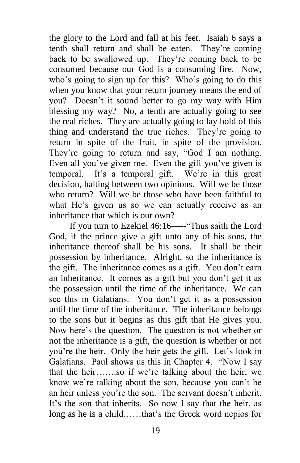the glory to the Lord and fall at his feet. Isaiah 6 says a tenth shall return and shall be eaten. They're coming back to be swallowed up. They're coming back to be consumed because our God is a consuming fire. Now, who's going to sign up for this? Who's going to do this when you know that your return journey means the end of you? Doesn't it sound better to go my way with Him blessing my way? No, a tenth are actually going to see the real riches. They are actually going to lay hold of this thing and understand the true riches. They're going to return in spite of the fruit, in spite of the provision. They're going to return and say, "God I am nothing. Even all you've given me. Even the gift you've given is temporal. It's a temporal gift. We're in this great decision, halting between two opinions. Will we be those who return? Will we be those who have been faithful to what He's given us so we can actually receive as an inheritance that which is our own?

 If you turn to Ezekiel 46:16-----"Thus saith the Lord God, if the prince give a gift unto any of his sons, the inheritance thereof shall be his sons. It shall be their possession by inheritance. Alright, so the inheritance is the gift. The inheritance comes as a gift. You don't earn an inheritance. It comes as a gift but you don't get it as the possession until the time of the inheritance. We can see this in Galatians. You don't get it as a possession until the time of the inheritance. The inheritance belongs to the sons but it begins as this gift that He gives you. Now here's the question. The question is not whether or not the inheritance is a gift, the question is whether or not you're the heir. Only the heir gets the gift. Let's look in Galatians. Paul shows us this in Chapter 4. "Now I say that the heir…….so if we're talking about the heir, we know we're talking about the son, because you can't be an heir unless you're the son. The servant doesn't inherit. It's the son that inherits. So now I say that the heir, as long as he is a child……that's the Greek word nepios for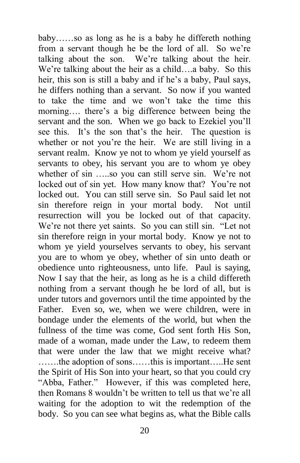baby……so as long as he is a baby he differeth nothing from a servant though he be the lord of all. So we're talking about the son. We're talking about the heir. We're talking about the heir as a child….a baby. So this heir, this son is still a baby and if he's a baby, Paul says, he differs nothing than a servant. So now if you wanted to take the time and we won't take the time this morning…. there's a big difference between being the servant and the son. When we go back to Ezekiel you'll see this. It's the son that's the heir. The question is whether or not you're the heir. We are still living in a servant realm. Know ye not to whom ye yield yourself as servants to obey, his servant you are to whom ye obey whether of sin …..so you can still serve sin. We're not locked out of sin yet. How many know that? You're not locked out. You can still serve sin. So Paul said let not sin therefore reign in your mortal body. Not until resurrection will you be locked out of that capacity. We're not there yet saints. So you can still sin. "Let not sin therefore reign in your mortal body. Know ye not to whom ye yield yourselves servants to obey, his servant you are to whom ye obey, whether of sin unto death or obedience unto righteousness, unto life. Paul is saying, Now I say that the heir, as long as he is a child differeth nothing from a servant though he be lord of all, but is under tutors and governors until the time appointed by the Father. Even so, we, when we were children, were in bondage under the elements of the world, but when the fullness of the time was come, God sent forth His Son, made of a woman, made under the Law, to redeem them that were under the law that we might receive what? …….the adoption of sons……this is important…..He sent the Spirit of His Son into your heart, so that you could cry "Abba, Father." However, if this was completed here, then Romans 8 wouldn't be written to tell us that we're all waiting for the adoption to wit the redemption of the body. So you can see what begins as, what the Bible calls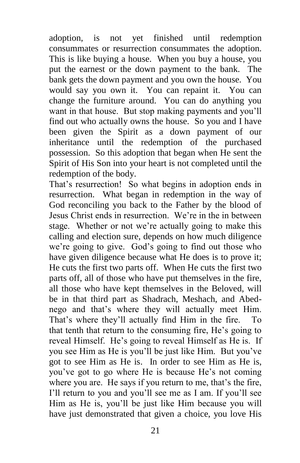adoption, is not yet finished until redemption consummates or resurrection consummates the adoption. This is like buying a house. When you buy a house, you put the earnest or the down payment to the bank. The bank gets the down payment and you own the house. You would say you own it. You can repaint it. You can change the furniture around. You can do anything you want in that house. But stop making payments and you'll find out who actually owns the house. So you and I have been given the Spirit as a down payment of our inheritance until the redemption of the purchased possession. So this adoption that began when He sent the Spirit of His Son into your heart is not completed until the redemption of the body.

That's resurrection! So what begins in adoption ends in resurrection. What began in redemption in the way of God reconciling you back to the Father by the blood of Jesus Christ ends in resurrection. We're in the in between stage. Whether or not we're actually going to make this calling and election sure, depends on how much diligence we're going to give. God's going to find out those who have given diligence because what He does is to prove it; He cuts the first two parts off. When He cuts the first two parts off, all of those who have put themselves in the fire, all those who have kept themselves in the Beloved, will be in that third part as Shadrach, Meshach, and Abednego and that's where they will actually meet Him. That's where they'll actually find Him in the fire. To that tenth that return to the consuming fire, He's going to reveal Himself. He's going to reveal Himself as He is. If you see Him as He is you'll be just like Him. But you've got to see Him as He is. In order to see Him as He is, you've got to go where He is because He's not coming where you are. He says if you return to me, that's the fire, I'll return to you and you'll see me as I am. If you'll see Him as He is, you'll be just like Him because you will have just demonstrated that given a choice, you love His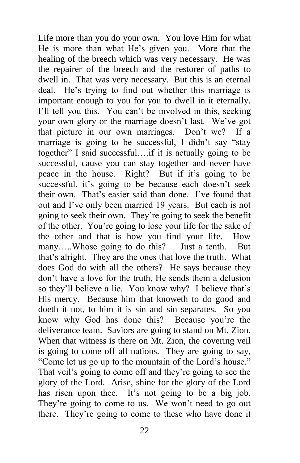Life more than you do your own. You love Him for what He is more than what He's given you. More that the healing of the breech which was very necessary. He was the repairer of the breech and the restorer of paths to dwell in. That was very necessary. But this is an eternal deal. He's trying to find out whether this marriage is important enough to you for you to dwell in it eternally. I'll tell you this. You can't be involved in this, seeking your own glory or the marriage doesn't last. We've got that picture in our own marriages. Don't we? If a marriage is going to be successful, I didn't say "stay together" I said successful….if it is actually going to be successful, cause you can stay together and never have peace in the house. Right? But if it's going to be successful, it's going to be because each doesn't seek their own. That's easier said than done. I've found that out and I've only been married 19 years. But each is not going to seek their own. They're going to seek the benefit of the other. You're going to lose your life for the sake of the other and that is how you find your life. How many.....Whose going to do this? Just a tenth. But that's alright. They are the ones that love the truth. What does God do with all the others? He says because they don't have a love for the truth, He sends them a delusion so they'll believe a lie. You know why? I believe that's His mercy. Because him that knoweth to do good and doeth it not, to him it is sin and sin separates. So you know why God has done this? Because you're the deliverance team. Saviors are going to stand on Mt. Zion. When that witness is there on Mt. Zion, the covering veil is going to come off all nations. They are going to say, "Come let us go up to the mountain of the Lord's house." That veil's going to come off and they're going to see the glory of the Lord. Arise, shine for the glory of the Lord has risen upon thee. It's not going to be a big job. They're going to come to us. We won't need to go out there. They're going to come to these who have done it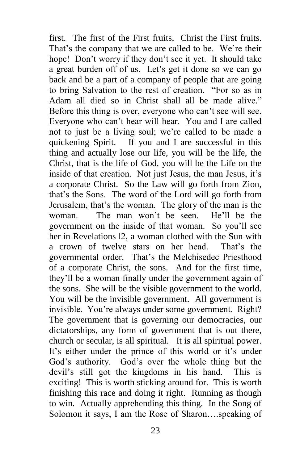first. The first of the First fruits, Christ the First fruits. That's the company that we are called to be. We're their hope! Don't worry if they don't see it yet. It should take a great burden off of us. Let's get it done so we can go back and be a part of a company of people that are going to bring Salvation to the rest of creation. "For so as in Adam all died so in Christ shall all be made alive." Before this thing is over, everyone who can't see will see. Everyone who can't hear will hear. You and I are called not to just be a living soul; we're called to be made a quickening Spirit. If you and I are successful in this thing and actually lose our life, you will be the life, the Christ, that is the life of God, you will be the Life on the inside of that creation. Not just Jesus, the man Jesus, it's a corporate Christ. So the Law will go forth from Zion, that's the Sons. The word of the Lord will go forth from Jerusalem, that's the woman. The glory of the man is the woman. The man won't be seen. He'll be the government on the inside of that woman. So you'll see her in Revelations l2, a woman clothed with the Sun with a crown of twelve stars on her head. That's the governmental order. That's the Melchisedec Priesthood of a corporate Christ, the sons. And for the first time, they'll be a woman finally under the government again of the sons. She will be the visible government to the world. You will be the invisible government. All government is invisible. You're always under some government. Right? The government that is governing our democracies, our dictatorships, any form of government that is out there, church or secular, is all spiritual. It is all spiritual power. It's either under the prince of this world or it's under God's authority. God's over the whole thing but the devil's still got the kingdoms in his hand. This is exciting! This is worth sticking around for. This is worth finishing this race and doing it right. Running as though to win. Actually apprehending this thing. In the Song of Solomon it says, I am the Rose of Sharon….speaking of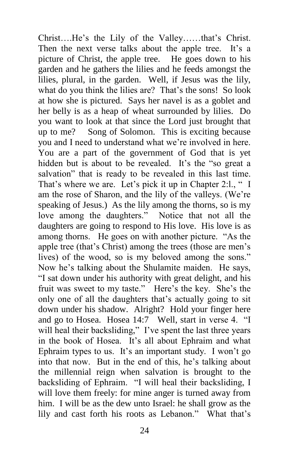Christ….He's the Lily of the Valley……that's Christ. Then the next verse talks about the apple tree. It's a picture of Christ, the apple tree. He goes down to his garden and he gathers the lilies and he feeds amongst the lilies, plural, in the garden. Well, if Jesus was the lily, what do you think the lilies are? That's the sons! So look at how she is pictured. Says her navel is as a goblet and her belly is as a heap of wheat surrounded by lilies. Do you want to look at that since the Lord just brought that up to me? Song of Solomon. This is exciting because you and I need to understand what we're involved in here. You are a part of the government of God that is yet hidden but is about to be revealed. It's the "so great a salvation" that is ready to be revealed in this last time. That's where we are. Let's pick it up in Chapter 2:1., " I am the rose of Sharon, and the lily of the valleys. (We're speaking of Jesus.) As the lily among the thorns, so is my love among the daughters." Notice that not all the daughters are going to respond to His love. His love is as among thorns. He goes on with another picture. "As the apple tree (that's Christ) among the trees (those are men's lives) of the wood, so is my beloved among the sons." Now he's talking about the Shulamite maiden. He says, "I sat down under his authority with great delight, and his fruit was sweet to my taste." Here's the key. She's the only one of all the daughters that's actually going to sit down under his shadow. Alright? Hold your finger here and go to Hosea. Hosea 14:7 Well, start in verse 4. "I will heal their backsliding," I've spent the last three years in the book of Hosea. It's all about Ephraim and what Ephraim types to us. It's an important study. I won't go into that now. But in the end of this, he's talking about the millennial reign when salvation is brought to the backsliding of Ephraim. "I will heal their backsliding, I will love them freely: for mine anger is turned away from him. I will be as the dew unto Israel: he shall grow as the lily and cast forth his roots as Lebanon." What that's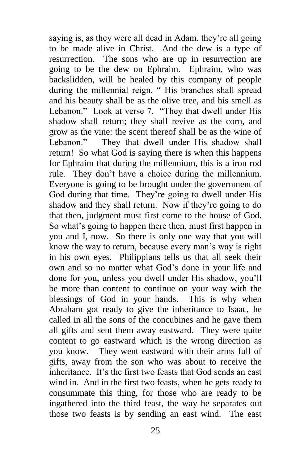saying is, as they were all dead in Adam, they're all going to be made alive in Christ. And the dew is a type of resurrection. The sons who are up in resurrection are going to be the dew on Ephraim. Ephraim, who was backslidden, will be healed by this company of people during the millennial reign. " His branches shall spread and his beauty shall be as the olive tree, and his smell as Lebanon." Look at verse 7. "They that dwell under His shadow shall return; they shall revive as the corn, and grow as the vine: the scent thereof shall be as the wine of Lebanon." They that dwell under His shadow shall return! So what God is saying there is when this happens for Ephraim that during the millennium, this is a iron rod rule. They don't have a choice during the millennium. Everyone is going to be brought under the government of God during that time. They're going to dwell under His shadow and they shall return. Now if they're going to do that then, judgment must first come to the house of God. So what's going to happen there then, must first happen in you and I, now. So there is only one way that you will know the way to return, because every man's way is right in his own eyes. Philippians tells us that all seek their own and so no matter what God's done in your life and done for you, unless you dwell under His shadow, you'll be more than content to continue on your way with the blessings of God in your hands. This is why when Abraham got ready to give the inheritance to Isaac, he called in all the sons of the concubines and he gave them all gifts and sent them away eastward. They were quite content to go eastward which is the wrong direction as you know. They went eastward with their arms full of gifts, away from the son who was about to receive the inheritance. It's the first two feasts that God sends an east wind in. And in the first two feasts, when he gets ready to consummate this thing, for those who are ready to be ingathered into the third feast, the way he separates out those two feasts is by sending an east wind. The east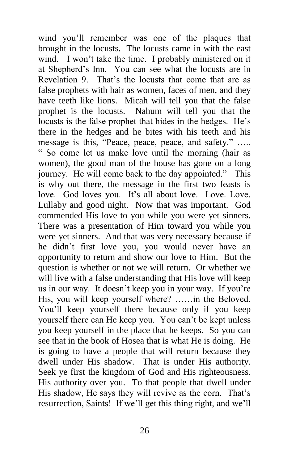wind you'll remember was one of the plaques that brought in the locusts. The locusts came in with the east wind. I won't take the time. I probably ministered on it at Shepherd's Inn. You can see what the locusts are in Revelation 9. That's the locusts that come that are as false prophets with hair as women, faces of men, and they have teeth like lions. Micah will tell you that the false prophet is the locusts. Nahum will tell you that the locusts is the false prophet that hides in the hedges. He's there in the hedges and he bites with his teeth and his message is this, "Peace, peace, peace, and safety." ….. " So come let us make love until the morning (hair as women), the good man of the house has gone on a long journey. He will come back to the day appointed." This is why out there, the message in the first two feasts is love. God loves you. It's all about love. Love. Love. Lullaby and good night. Now that was important. God commended His love to you while you were yet sinners. There was a presentation of Him toward you while you were yet sinners. And that was very necessary because if he didn't first love you, you would never have an opportunity to return and show our love to Him. But the question is whether or not we will return. Or whether we will live with a false understanding that His love will keep us in our way. It doesn't keep you in your way. If you're His, you will keep yourself where? ……in the Beloved. You'll keep yourself there because only if you keep yourself there can He keep you. You can't be kept unless you keep yourself in the place that he keeps. So you can see that in the book of Hosea that is what He is doing. He is going to have a people that will return because they dwell under His shadow. That is under His authority. Seek ye first the kingdom of God and His righteousness. His authority over you. To that people that dwell under His shadow, He says they will revive as the corn. That's resurrection, Saints! If we'll get this thing right, and we'll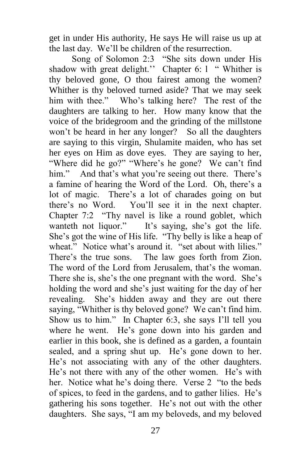get in under His authority, He says He will raise us up at the last day. We'll be children of the resurrection.

 Song of Solomon 2:3 "She sits down under His shadow with great delight." Chapter 6: 1 " Whither is thy beloved gone, O thou fairest among the women? Whither is thy beloved turned aside? That we may seek him with thee." Who's talking here? The rest of the daughters are talking to her. How many know that the voice of the bridegroom and the grinding of the millstone won't be heard in her any longer? So all the daughters are saying to this virgin, Shulamite maiden, who has set her eyes on Him as dove eyes. They are saying to her, "Where did he go?" "Where's he gone? We can't find him." And that's what you're seeing out there. There's a famine of hearing the Word of the Lord. Oh, there's a lot of magic. There's a lot of charades going on but there's no Word. You'll see it in the next chapter. Chapter 7:2 "Thy navel is like a round goblet, which wanteth not liquor." It's saying, she's got the life. She's got the wine of His life. "Thy belly is like a heap of wheat." Notice what's around it. "set about with lilies." There's the true sons. The law goes forth from Zion. The word of the Lord from Jerusalem, that's the woman. There she is, she's the one pregnant with the word. She's holding the word and she's just waiting for the day of her revealing. She's hidden away and they are out there saying, "Whither is thy beloved gone? We can't find him. Show us to him." In Chapter 6:3, she says I'll tell you where he went. He's gone down into his garden and earlier in this book, she is defined as a garden, a fountain sealed, and a spring shut up. He's gone down to her. He's not associating with any of the other daughters. He's not there with any of the other women. He's with her. Notice what he's doing there. Verse 2 "to the beds of spices, to feed in the gardens, and to gather lilies. He's gathering his sons together. He's not out with the other daughters. She says, "I am my beloveds, and my beloved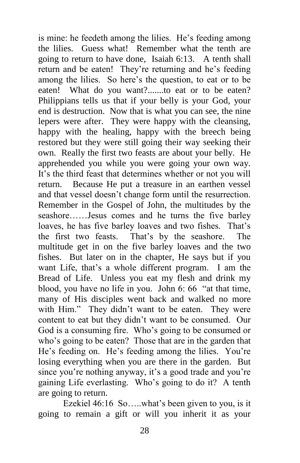is mine: he feedeth among the lilies. He's feeding among the lilies. Guess what! Remember what the tenth are going to return to have done, Isaiah 6:13. A tenth shall return and be eaten! They're returning and he's feeding among the lilies. So here's the question, to eat or to be eaten! What do you want?.......to eat or to be eaten? Philippians tells us that if your belly is your God, your end is destruction. Now that is what you can see, the nine lepers were after. They were happy with the cleansing, happy with the healing, happy with the breech being restored but they were still going their way seeking their own. Really the first two feasts are about your belly. He apprehended you while you were going your own way. It's the third feast that determines whether or not you will return. Because He put a treasure in an earthen vessel and that vessel doesn't change form until the resurrection. Remember in the Gospel of John, the multitudes by the seashore……Jesus comes and he turns the five barley loaves, he has five barley loaves and two fishes. That's the first two feasts. That's by the seashore. The multitude get in on the five barley loaves and the two fishes. But later on in the chapter, He says but if you want Life, that's a whole different program. I am the Bread of Life. Unless you eat my flesh and drink my blood, you have no life in you. John 6: 66 "at that time, many of His disciples went back and walked no more with Him." They didn't want to be eaten. They were content to eat but they didn't want to be consumed. Our God is a consuming fire. Who's going to be consumed or who's going to be eaten? Those that are in the garden that He's feeding on. He's feeding among the lilies. You're losing everything when you are there in the garden. But since you're nothing anyway, it's a good trade and you're gaining Life everlasting. Who's going to do it? A tenth are going to return.

 Ezekiel 46:16 So…..what's been given to you, is it going to remain a gift or will you inherit it as your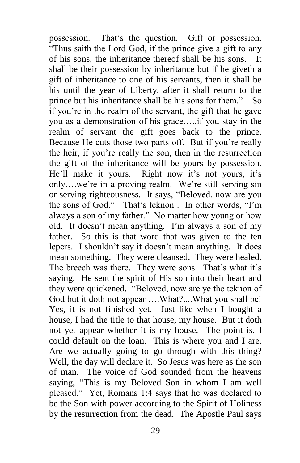possession. That's the question. Gift or possession. "Thus saith the Lord God, if the prince give a gift to any of his sons, the inheritance thereof shall be his sons. It shall be their possession by inheritance but if he giveth a gift of inheritance to one of his servants, then it shall be his until the year of Liberty, after it shall return to the prince but his inheritance shall be his sons for them." So if you're in the realm of the servant, the gift that he gave you as a demonstration of his grace…..if you stay in the realm of servant the gift goes back to the prince. Because He cuts those two parts off. But if you're really the heir, if you're really the son, then in the resurrection the gift of the inheritance will be yours by possession. He'll make it yours. Right now it's not yours, it's only….we're in a proving realm. We're still serving sin or serving righteousness. It says, "Beloved, now are you the sons of God." That's teknon . In other words, "I'm always a son of my father." No matter how young or how old. It doesn't mean anything. I'm always a son of my father. So this is that word that was given to the ten lepers. I shouldn't say it doesn't mean anything. It does mean something. They were cleansed. They were healed. The breech was there. They were sons. That's what it's saying. He sent the spirit of His son into their heart and they were quickened. "Beloved, now are ye the teknon of God but it doth not appear ….What?....What you shall be! Yes, it is not finished yet. Just like when I bought a house, I had the title to that house, my house. But it doth not yet appear whether it is my house. The point is, I could default on the loan. This is where you and I are. Are we actually going to go through with this thing? Well, the day will declare it. So Jesus was here as the son of man. The voice of God sounded from the heavens saying, "This is my Beloved Son in whom I am well pleased." Yet, Romans 1:4 says that he was declared to be the Son with power according to the Spirit of Holiness by the resurrection from the dead. The Apostle Paul says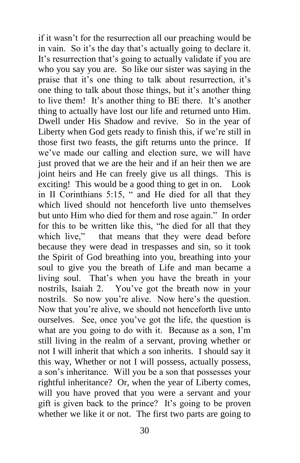if it wasn't for the resurrection all our preaching would be in vain. So it's the day that's actually going to declare it. It's resurrection that's going to actually validate if you are who you say you are. So like our sister was saying in the praise that it's one thing to talk about resurrection, it's one thing to talk about those things, but it's another thing to live them! It's another thing to BE there. It's another thing to actually have lost our life and returned unto Him. Dwell under His Shadow and revive. So in the year of Liberty when God gets ready to finish this, if we're still in those first two feasts, the gift returns unto the prince. If we've made our calling and election sure, we will have just proved that we are the heir and if an heir then we are joint heirs and He can freely give us all things. This is exciting! This would be a good thing to get in on. Look in II Corinthians 5:15, " and He died for all that they which lived should not henceforth live unto themselves but unto Him who died for them and rose again." In order for this to be written like this, "he died for all that they which live," that means that they were dead before because they were dead in trespasses and sin, so it took the Spirit of God breathing into you, breathing into your soul to give you the breath of Life and man became a living soul. That's when you have the breath in your nostrils, Isaiah 2. You've got the breath now in your nostrils. So now you're alive. Now here's the question. Now that you're alive, we should not henceforth live unto ourselves. See, once you've got the life, the question is what are you going to do with it. Because as a son, I'm still living in the realm of a servant, proving whether or not I will inherit that which a son inherits. I should say it this way, Whether or not I will possess, actually possess, a son's inheritance. Will you be a son that possesses your rightful inheritance? Or, when the year of Liberty comes, will you have proved that you were a servant and your gift is given back to the prince? It's going to be proven whether we like it or not. The first two parts are going to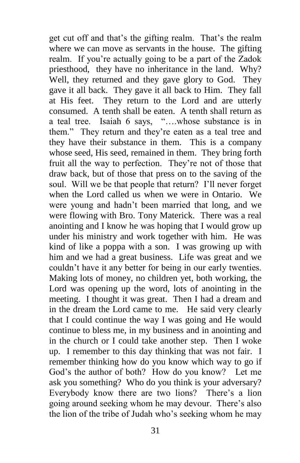get cut off and that's the gifting realm. That's the realm where we can move as servants in the house. The gifting realm. If you're actually going to be a part of the Zadok priesthood, they have no inheritance in the land. Why? Well, they returned and they gave glory to God. They gave it all back. They gave it all back to Him. They fall at His feet. They return to the Lord and are utterly consumed. A tenth shall be eaten. A tenth shall return as a teal tree. Isaiah 6 says, "….whose substance is in them." They return and they're eaten as a teal tree and they have their substance in them. This is a company whose seed, His seed, remained in them. They bring forth fruit all the way to perfection. They're not of those that draw back, but of those that press on to the saving of the soul. Will we be that people that return? I'll never forget when the Lord called us when we were in Ontario. We were young and hadn't been married that long, and we were flowing with Bro. Tony Materick. There was a real anointing and I know he was hoping that I would grow up under his ministry and work together with him. He was kind of like a poppa with a son. I was growing up with him and we had a great business. Life was great and we couldn't have it any better for being in our early twenties. Making lots of money, no children yet, both working, the Lord was opening up the word, lots of anointing in the meeting. I thought it was great. Then I had a dream and in the dream the Lord came to me. He said very clearly that I could continue the way I was going and He would continue to bless me, in my business and in anointing and in the church or I could take another step. Then I woke up. I remember to this day thinking that was not fair. I remember thinking how do you know which way to go if God's the author of both? How do you know? Let me ask you something? Who do you think is your adversary? Everybody know there are two lions? There's a lion going around seeking whom he may devour. There's also the lion of the tribe of Judah who's seeking whom he may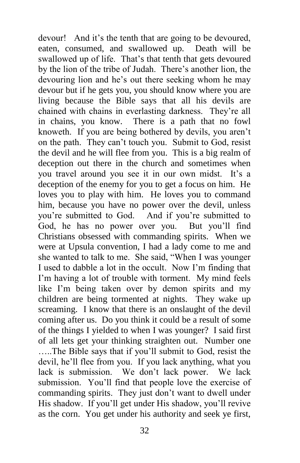devour! And it's the tenth that are going to be devoured, eaten, consumed, and swallowed up. Death will be swallowed up of life. That's that tenth that gets devoured by the lion of the tribe of Judah. There's another lion, the devouring lion and he's out there seeking whom he may devour but if he gets you, you should know where you are living because the Bible says that all his devils are chained with chains in everlasting darkness. They're all in chains, you know. There is a path that no fowl knoweth. If you are being bothered by devils, you aren't on the path. They can't touch you. Submit to God, resist the devil and he will flee from you. This is a big realm of deception out there in the church and sometimes when you travel around you see it in our own midst. It's a deception of the enemy for you to get a focus on him. He loves you to play with him. He loves you to command him, because you have no power over the devil, unless you're submitted to God. And if you're submitted to God, he has no power over you. But you'll find Christians obsessed with commanding spirits. When we were at Upsula convention, I had a lady come to me and she wanted to talk to me. She said, "When I was younger I used to dabble a lot in the occult. Now I'm finding that I'm having a lot of trouble with torment. My mind feels like I'm being taken over by demon spirits and my children are being tormented at nights. They wake up screaming. I know that there is an onslaught of the devil coming after us. Do you think it could be a result of some of the things I yielded to when I was younger? I said first of all lets get your thinking straighten out. Number one …..The Bible says that if you'll submit to God, resist the devil, he'll flee from you. If you lack anything, what you lack is submission. We don't lack power. We lack submission. You'll find that people love the exercise of commanding spirits. They just don't want to dwell under His shadow. If you'll get under His shadow, you'll revive as the corn. You get under his authority and seek ye first,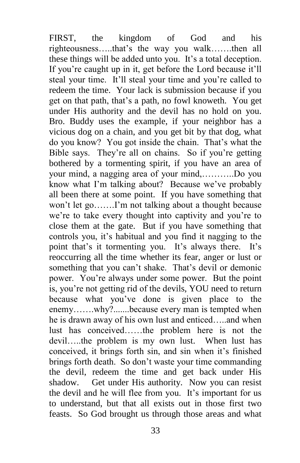FIRST, the kingdom of God and his righteousness…..that's the way you walk…….then all these things will be added unto you. It's a total deception. If you're caught up in it, get before the Lord because it'll steal your time. It'll steal your time and you're called to redeem the time. Your lack is submission because if you get on that path, that's a path, no fowl knoweth. You get under His authority and the devil has no hold on you. Bro. Buddy uses the example, if your neighbor has a vicious dog on a chain, and you get bit by that dog, what do you know? You got inside the chain. That's what the Bible says. They're all on chains. So if you're getting bothered by a tormenting spirit, if you have an area of your mind, a nagging area of your mind,………..Do you know what I'm talking about? Because we've probably all been there at some point. If you have something that won't let go…….I'm not talking about a thought because we're to take every thought into captivity and you're to close them at the gate. But if you have something that controls you, it's habitual and you find it nagging to the point that's it tormenting you. It's always there. It's reoccurring all the time whether its fear, anger or lust or something that you can't shake. That's devil or demonic power. You're always under some power. But the point is, you're not getting rid of the devils, YOU need to return because what you've done is given place to the enemy…….why?.......because every man is tempted when he is drawn away of his own lust and enticed…..and when lust has conceived……the problem here is not the devil…..the problem is my own lust. When lust has conceived, it brings forth sin, and sin when it's finished brings forth death. So don't waste your time commanding the devil, redeem the time and get back under His shadow. Get under His authority. Now you can resist the devil and he will flee from you. It's important for us to understand, but that all exists out in those first two feasts. So God brought us through those areas and what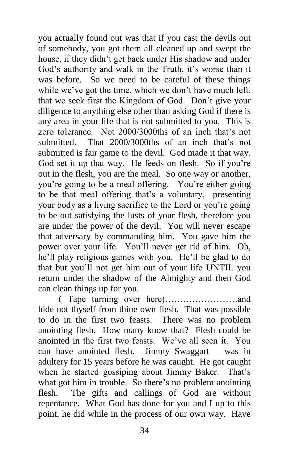you actually found out was that if you cast the devils out of somebody, you got them all cleaned up and swept the house, if they didn't get back under His shadow and under God's authority and walk in the Truth, it's worse than it was before. So we need to be careful of these things while we've got the time, which we don't have much left, that we seek first the Kingdom of God. Don't give your diligence to anything else other than asking God if there is any area in your life that is not submitted to you. This is zero tolerance. Not 2000/3000ths of an inch that's not submitted. That 2000/3000ths of an inch that's not submitted is fair game to the devil. God made it that way. God set it up that way. He feeds on flesh. So if you're out in the flesh, you are the meal. So one way or another, you're going to be a meal offering. You're either going to be that meal offering that's a voluntary, presenting your body as a living sacrifice to the Lord or you're going to be out satisfying the lusts of your flesh, therefore you are under the power of the devil. You will never escape that adversary by commanding him. You gave him the power over your life. You'll never get rid of him. Oh, he'll play religious games with you. He'll be glad to do that but you'll not get him out of your life UNTIL you return under the shadow of the Almighty and then God can clean things up for you.

 ( Tape turning over here)……………………and hide not thyself from thine own flesh. That was possible to do in the first two feasts. There was no problem anointing flesh. How many know that? Flesh could be anointed in the first two feasts. We've all seen it. You can have anointed flesh. Jimmy Swaggart was in adultery for 15 years before he was caught. He got caught when he started gossiping about Jimmy Baker. That's what got him in trouble. So there's no problem anointing flesh. The gifts and callings of God are without repentance. What God has done for you and I up to this point, he did while in the process of our own way. Have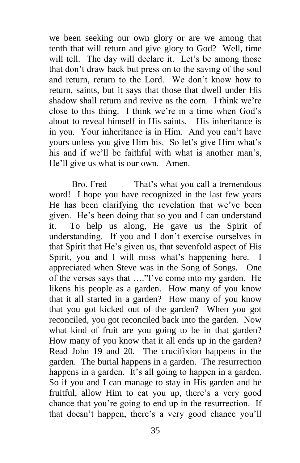we been seeking our own glory or are we among that tenth that will return and give glory to God? Well, time will tell. The day will declare it. Let's be among those that don't draw back but press on to the saving of the soul and return, return to the Lord. We don't know how to return, saints, but it says that those that dwell under His shadow shall return and revive as the corn. I think we're close to this thing. I think we're in a time when God's about to reveal himself in His saints. His inheritance is in you. Your inheritance is in Him. And you can't have yours unless you give Him his. So let's give Him what's his and if we'll be faithful with what is another man's, He'll give us what is our own. Amen.

Bro. Fred That's what you call a tremendous word! I hope you have recognized in the last few years He has been clarifying the revelation that we've been given. He's been doing that so you and I can understand it. To help us along, He gave us the Spirit of understanding. If you and I don't exercise ourselves in that Spirit that He's given us, that sevenfold aspect of His Spirit, you and I will miss what's happening here. I appreciated when Steve was in the Song of Songs. One of the verses says that …."I've come into my garden. He likens his people as a garden. How many of you know that it all started in a garden? How many of you know that you got kicked out of the garden? When you got reconciled, you got reconciled back into the garden. Now what kind of fruit are you going to be in that garden? How many of you know that it all ends up in the garden? Read John 19 and 20. The crucifixion happens in the garden. The burial happens in a garden. The resurrection happens in a garden. It's all going to happen in a garden. So if you and I can manage to stay in His garden and be fruitful, allow Him to eat you up, there's a very good chance that you're going to end up in the resurrection. If that doesn't happen, there's a very good chance you'll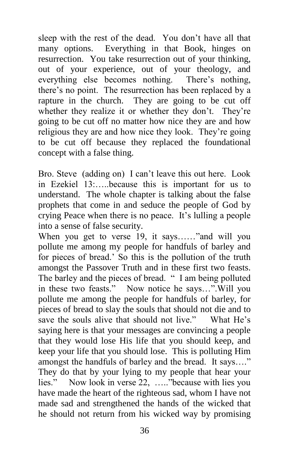sleep with the rest of the dead. You don't have all that many options. Everything in that Book, hinges on resurrection. You take resurrection out of your thinking, out of your experience, out of your theology, and everything else becomes nothing. There's nothing, there's no point. The resurrection has been replaced by a rapture in the church. They are going to be cut off whether they realize it or whether they don't. They're going to be cut off no matter how nice they are and how religious they are and how nice they look. They're going to be cut off because they replaced the foundational concept with a false thing.

Bro. Steve (adding on) I can't leave this out here. Look in Ezekiel 13:…..because this is important for us to understand. The whole chapter is talking about the false prophets that come in and seduce the people of God by crying Peace when there is no peace. It's lulling a people into a sense of false security.

When you get to verse 19, it says……"and will you pollute me among my people for handfuls of barley and for pieces of bread.' So this is the pollution of the truth amongst the Passover Truth and in these first two feasts. The barley and the pieces of bread. " I am being polluted in these two feasts." Now notice he says…".Will you pollute me among the people for handfuls of barley, for pieces of bread to slay the souls that should not die and to save the souls alive that should not live." What He's saying here is that your messages are convincing a people that they would lose His life that you should keep, and keep your life that you should lose. This is polluting Him amongst the handfuls of barley and the bread. It says…." They do that by your lying to my people that hear your lies." Now look in verse 22, ….."because with lies you have made the heart of the righteous sad, whom I have not made sad and strengthened the hands of the wicked that he should not return from his wicked way by promising